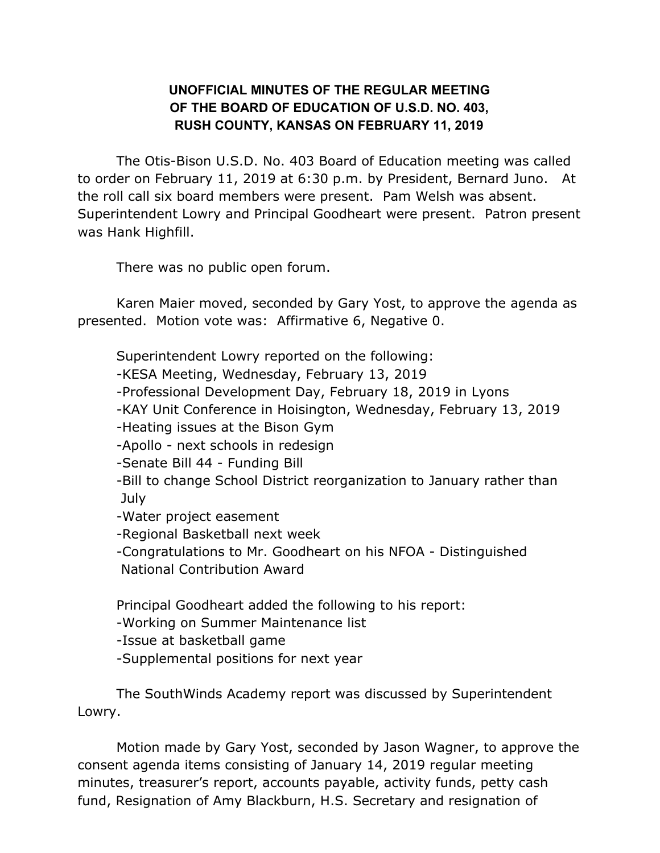## **UNOFFICIAL MINUTES OF THE REGULAR MEETING OF THE BOARD OF EDUCATION OF U.S.D. NO. 403, RUSH COUNTY, KANSAS ON FEBRUARY 11, 2019**

The Otis-Bison U.S.D. No. 403 Board of Education meeting was called to order on February 11, 2019 at 6:30 p.m. by President, Bernard Juno. At the roll call six board members were present. Pam Welsh was absent. Superintendent Lowry and Principal Goodheart were present. Patron present was Hank Highfill.

There was no public open forum.

Karen Maier moved, seconded by Gary Yost, to approve the agenda as presented. Motion vote was: Affirmative 6, Negative 0.

Superintendent Lowry reported on the following:

- -KESA Meeting, Wednesday, February 13, 2019
- -Professional Development Day, February 18, 2019 in Lyons
- -KAY Unit Conference in Hoisington, Wednesday, February 13, 2019
- -Heating issues at the Bison Gym
- -Apollo next schools in redesign
- -Senate Bill 44 Funding Bill
- -Bill to change School District reorganization to January rather than July
- -Water project easement
- -Regional Basketball next week
- -Congratulations to Mr. Goodheart on his NFOA Distinguished
- National Contribution Award

Principal Goodheart added the following to his report:

- -Working on Summer Maintenance list
- -Issue at basketball game
- -Supplemental positions for next year

The SouthWinds Academy report was discussed by Superintendent Lowry.

Motion made by Gary Yost, seconded by Jason Wagner, to approve the consent agenda items consisting of January 14, 2019 regular meeting minutes, treasurer's report, accounts payable, activity funds, petty cash fund, Resignation of Amy Blackburn, H.S. Secretary and resignation of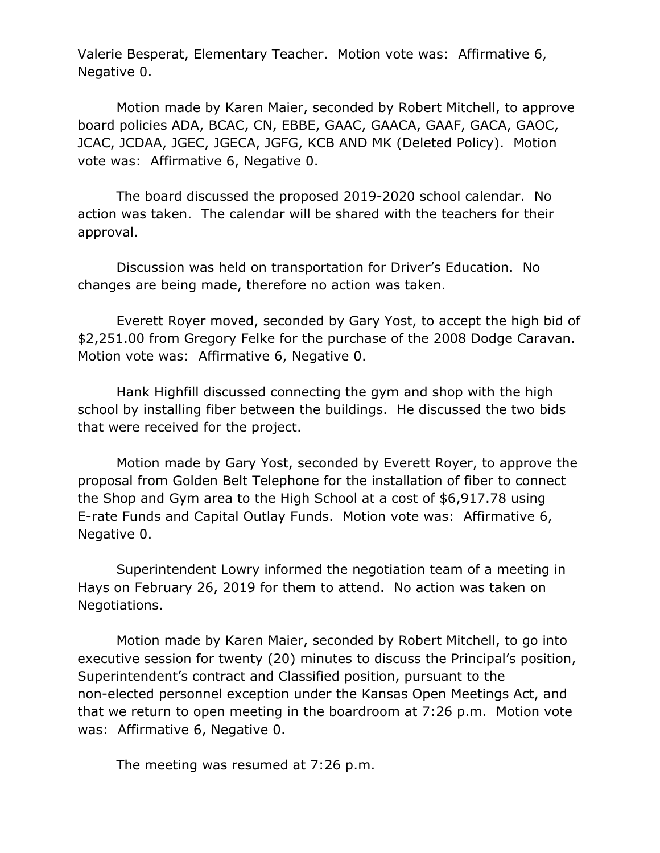Valerie Besperat, Elementary Teacher. Motion vote was: Affirmative 6, Negative 0.

Motion made by Karen Maier, seconded by Robert Mitchell, to approve board policies ADA, BCAC, CN, EBBE, GAAC, GAACA, GAAF, GACA, GAOC, JCAC, JCDAA, JGEC, JGECA, JGFG, KCB AND MK (Deleted Policy). Motion vote was: Affirmative 6, Negative 0.

The board discussed the proposed 2019-2020 school calendar. No action was taken. The calendar will be shared with the teachers for their approval.

Discussion was held on transportation for Driver's Education. No changes are being made, therefore no action was taken.

Everett Royer moved, seconded by Gary Yost, to accept the high bid of \$2,251.00 from Gregory Felke for the purchase of the 2008 Dodge Caravan. Motion vote was: Affirmative 6, Negative 0.

Hank Highfill discussed connecting the gym and shop with the high school by installing fiber between the buildings. He discussed the two bids that were received for the project.

Motion made by Gary Yost, seconded by Everett Royer, to approve the proposal from Golden Belt Telephone for the installation of fiber to connect the Shop and Gym area to the High School at a cost of \$6,917.78 using E-rate Funds and Capital Outlay Funds. Motion vote was: Affirmative 6, Negative 0.

Superintendent Lowry informed the negotiation team of a meeting in Hays on February 26, 2019 for them to attend. No action was taken on Negotiations.

Motion made by Karen Maier, seconded by Robert Mitchell, to go into executive session for twenty (20) minutes to discuss the Principal's position, Superintendent's contract and Classified position, pursuant to the non-elected personnel exception under the Kansas Open Meetings Act, and that we return to open meeting in the boardroom at 7:26 p.m. Motion vote was: Affirmative 6, Negative 0.

The meeting was resumed at 7:26 p.m.